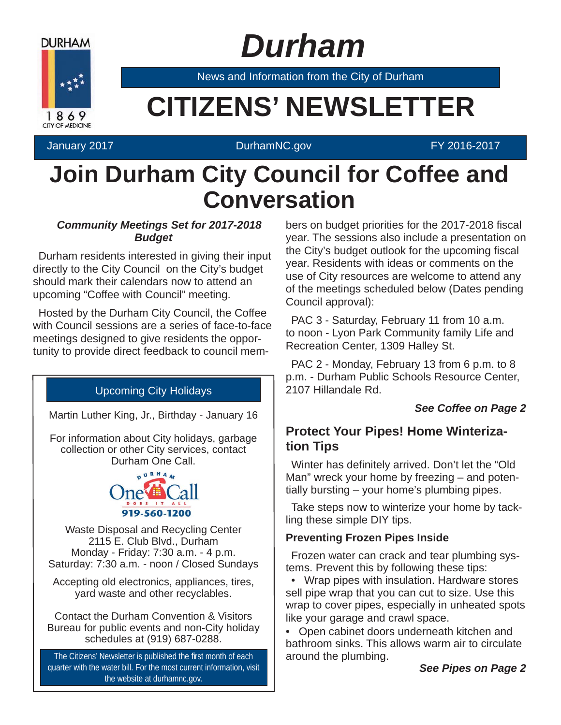

# *Durham*

News and Information from the City of Durham

# **EXAMPLE CITIZENS' NEWSLETTER**

#### January 2017 DurhamNC.gov FY 2016-2017

### **Join Durham City Council for Coffee and Conversation**

#### *Community Meetings Set for 2017-2018 Budget*

Durham residents interested in giving their input directly to the City Council on the City's budget should mark their calendars now to attend an upcoming "Coffee with Council" meeting.

Hosted by the Durham City Council, the Coffee with Council sessions are a series of face-to-face meetings designed to give residents the opportunity to provide direct feedback to council mem-

#### Upcoming City Holidays

Martin Luther King, Jr., Birthday - January 16

For information about City holidays, garbage collection or other City services, contact Durham One Call.



Waste Disposal and Recycling Center 2115 E. Club Blvd., Durham Monday - Friday: 7:30 a.m. - 4 p.m. Saturday: 7:30 a.m. - noon / Closed Sundays

Accepting old electronics, appliances, tires, yard waste and other recyclables.

Contact the Durham Convention & Visitors Bureau for public events and non-City holiday schedules at (919) 687-0288.

The Citizens' Newsletter is published the first month of each quarter with the water bill. For the most current information, visit the website at durhamnc.gov.

bers on budget priorities for the 2017-2018 fiscal year. The sessions also include a presentation on the City's budget outlook for the upcoming fiscal year. Residents with ideas or comments on the use of City resources are welcome to attend any of the meetings scheduled below (Dates pending Council approval):

PAC 3 - Saturday, February 11 from 10 a.m. to noon - Lyon Park Community family Life and Recreation Center, 1309 Halley St.

PAC 2 - Monday, February 13 from 6 p.m. to 8 p.m. - Durham Public Schools Resource Center, 2107 Hillandale Rd.

#### *See Coffee on Page 2*

### **Protect Your Pipes! Home Winterization Tips**

Winter has definitely arrived. Don't let the "Old" Man" wreck your home by freezing – and potentially bursting – your home's plumbing pipes.

Take steps now to winterize your home by tackling these simple DIY tips.

#### **Preventing Frozen Pipes Inside**

Frozen water can crack and tear plumbing systems. Prevent this by following these tips:

• Wrap pipes with insulation. Hardware stores sell pipe wrap that you can cut to size. Use this wrap to cover pipes, especially in unheated spots like your garage and crawl space.

• Open cabinet doors underneath kitchen and bathroom sinks. This allows warm air to circulate around the plumbing.

*See Pipes on Page 2*